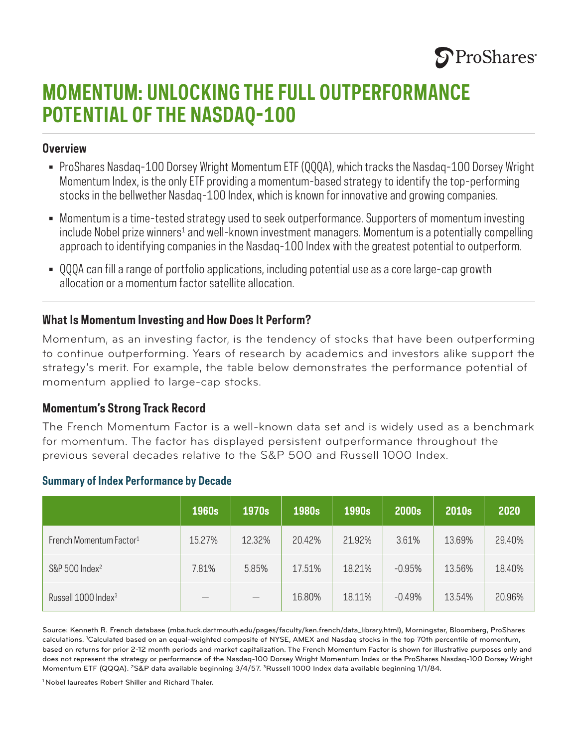

# **MOMENTUM: UNLOCKING THE FULL OUTPERFORMANCE POTENTIAL OF THE NASDAQ-100**

#### **Overview**

- ProShares Nasdaq-100 Dorsey Wright Momentum ETF (QQQA), which tracks the Nasdaq-100 Dorsey Wright Momentum Index, is the only ETF providing a momentum-based strategy to identify the top-performing stocks in the bellwether Nasdaq-100 Index, which is known for innovative and growing companies.
- Momentum is a time-tested strategy used to seek outperformance. Supporters of momentum investing include Nobel prize winners $^{\text{\tiny 1}}$  and well-known investment managers. Momentum is a potentially compelling approach to identifying companies in the Nasdaq-100 Index with the greatest potential to outperform.
- QQQA can fill a range of portfolio applications, including potential use as a core large-cap growth allocation or a momentum factor satellite allocation.

#### **What Is Momentum Investing and How Does It Perform?**

Momentum, as an investing factor, is the tendency of stocks that have been outperforming to continue outperforming. Years of research by academics and investors alike support the strategy's merit. For example, the table below demonstrates the performance potential of momentum applied to large-cap stocks.

#### **Momentum's Strong Track Record**

The French Momentum Factor is a well-known data set and is widely used as a benchmark for momentum. The factor has displayed persistent outperformance throughout the previous several decades relative to the S&P 500 and Russell 1000 Index.

|                                     | 1960s                    | 1970s  | 1980s  | 1990s  | 2000s    | 2010s  | 2020   |
|-------------------------------------|--------------------------|--------|--------|--------|----------|--------|--------|
| French Momentum Factor <sup>1</sup> | 15.27%                   | 12.32% | 20.42% | 21.92% | 3.61%    | 13.69% | 29.40% |
| S&P 500 Index <sup>2</sup>          | 7.81%                    | 5.85%  | 17.51% | 18.21% | $-0.95%$ | 13.56% | 18.40% |
| Russell 1000 Index <sup>3</sup>     | $\overline{\phantom{a}}$ |        | 16.80% | 18.11% | $-0.49%$ | 13.54% | 20.96% |

#### **Summary of Index Performance by Decade**

Source: Kenneth R. French database (mba.tuck.dartmouth.edu/pages/faculty/ken.french/data\_library.html), Morningstar, Bloomberg, ProShares calculations. <sup>1</sup>Calculated based on an equal-weighted composite of NYSE, AMEX and Nasdaq stocks in the top 70th percentile of momentum, based on returns for prior 2-12 month periods and market capitalization. The French Momentum Factor is shown for illustrative purposes only and does not represent the strategy or performance of the Nasdaq-100 Dorsey Wright Momentum Index or the ProShares Nasdaq-100 Dorsey Wright Momentum ETF (QQQA). <sup>2</sup>S&P data available beginning 3/4/57. <sup>3</sup>Russell 1000 Index data available beginning 1/1/84.

<sup>1</sup> Nobel laureates Robert Shiller and Richard Thaler.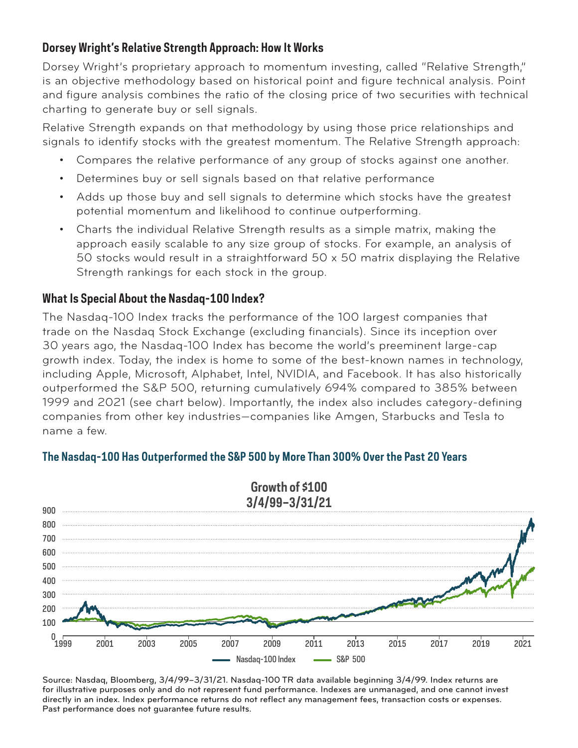# **Dorsey Wright's Relative Strength Approach: How It Works**

Dorsey Wright's proprietary approach to momentum investing, called "Relative Strength," is an objective methodology based on historical point and figure technical analysis. Point and figure analysis combines the ratio of the closing price of two securities with technical charting to generate buy or sell signals.

Relative Strength expands on that methodology by using those price relationships and signals to identify stocks with the greatest momentum. The Relative Strength approach:

- Compares the relative performance of any group of stocks against one another.
- Determines buy or sell signals based on that relative performance
- Adds up those buy and sell signals to determine which stocks have the greatest potential momentum and likelihood to continue outperforming.
- Charts the individual Relative Strength results as a simple matrix, making the approach easily scalable to any size group of stocks. For example, an analysis of 50 stocks would result in a straightforward 50 x 50 matrix displaying the Relative Strength rankings for each stock in the group.

## **What Is Special About the Nasdaq-100 Index?**

The Nasdaq-100 Index tracks the performance of the 100 largest companies that trade on the Nasdaq Stock Exchange (excluding financials). Since its inception over 30 years ago, the Nasdaq-100 Index has become the world's preeminent large-cap growth index. Today, the index is home to some of the best-known names in technology, including Apple, Microsoft, Alphabet, Intel, NVIDIA, and Facebook. It has also historically outperformed the S&P 500, returning cumulatively 694% compared to 385% between 1999 and 2021 (see chart below). Importantly, the index also includes category-defining companies from other key industries—companies like Amgen, Starbucks and Tesla to name a few.



### **The Nasdaq-100 Has Outperformed the S&P 500 by More Than 300% Over the Past 20 Years**

Source: Nasdaq, Bloomberg, 3/4/99–3/31/21. Nasdaq-100 TR data available beginning 3/4/99. Index returns are for illustrative purposes only and do not represent fund performance. Indexes are unmanaged, and one cannot invest directly in an index. Index performance returns do not reflect any management fees, transaction costs or expenses. Past performance does not guarantee future results.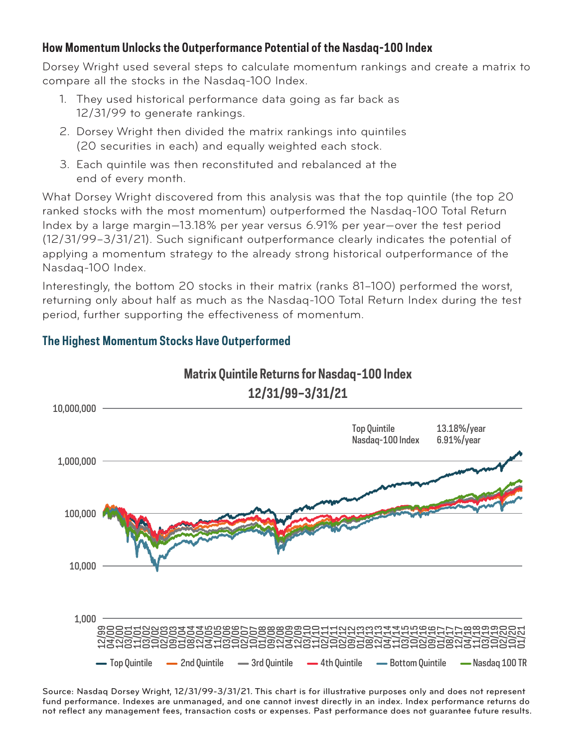## **How Momentum Unlocks the Outperformance Potential of the Nasdaq-100 Index**

Dorsey Wright used several steps to calculate momentum rankings and create a matrix to compare all the stocks in the Nasdaq-100 Index.

- 1. They used historical performance data going as far back as 12/31/99 to generate rankings.
- 2. Dorsey Wright then divided the matrix rankings into quintiles (20 securities in each) and equally weighted each stock.
- 3. Each quintile was then reconstituted and rebalanced at the end of every month.

What Dorsey Wright discovered from this analysis was that the top quintile (the top 20 ranked stocks with the most momentum) outperformed the Nasdaq-100 Total Return Index by a large margin—13.18% per year versus 6.91% per year—over the test period (12/31/99–3/31/21). Such significant outperformance clearly indicates the potential of applying a momentum strategy to the already strong historical outperformance of the Nasdaq-100 Index.

Interestingly, the bottom 20 stocks in their matrix (ranks 81–100) performed the worst, returning only about half as much as the Nasdaq-100 Total Return Index during the test period, further supporting the effectiveness of momentum.



# **The Highest Momentum Stocks Have Outperformed**

Source: Nasdaq Dorsey Wright, 12/31/99-3/31/21. This chart is for illustrative purposes only and does not represent fund performance. Indexes are unmanaged, and one cannot invest directly in an index. Index performance returns do not reflect any management fees, transaction costs or expenses. Past performance does not guarantee future results.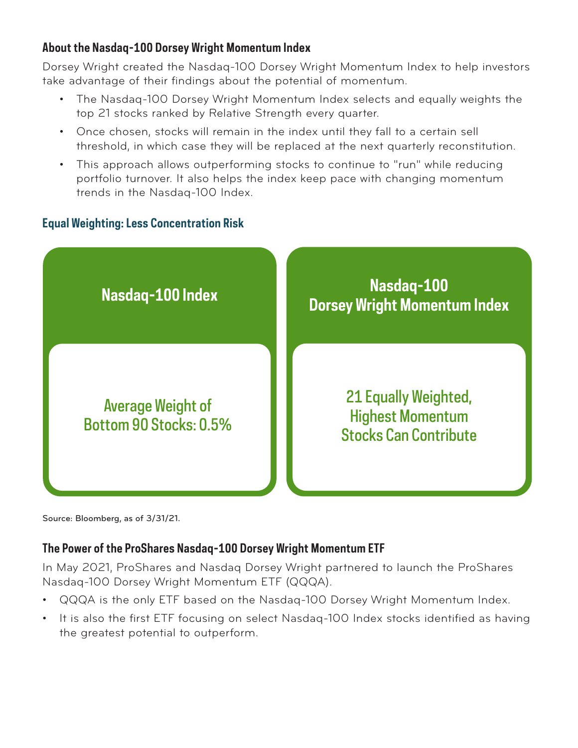# **About the Nasdaq-100 Dorsey Wright Momentum Index**

Dorsey Wright created the Nasdaq-100 Dorsey Wright Momentum Index to help investors take advantage of their findings about the potential of momentum.

- The Nasdaq-100 Dorsey Wright Momentum Index selects and equally weights the top 21 stocks ranked by Relative Strength every quarter.
- Once chosen, stocks will remain in the index until they fall to a certain sell threshold, in which case they will be replaced at the next quarterly reconstitution.
- This approach allows outperforming stocks to continue to "run" while reducing portfolio turnover. It also helps the index keep pace with changing momentum trends in the Nasdaq-100 Index.

# **Equal Weighting: Less Concentration Risk**



Source: Bloomberg, as of 3/31/21.

# **The Power of the ProShares Nasdaq-100 Dorsey Wright Momentum ETF**

In May 2021, ProShares and Nasdaq Dorsey Wright partnered to launch the ProShares Nasdaq-100 Dorsey Wright Momentum ETF (QQQA).

- QQQA is the only ETF based on the Nasdaq-100 Dorsey Wright Momentum Index.
- It is also the first ETF focusing on select Nasdaq-100 Index stocks identified as having the greatest potential to outperform.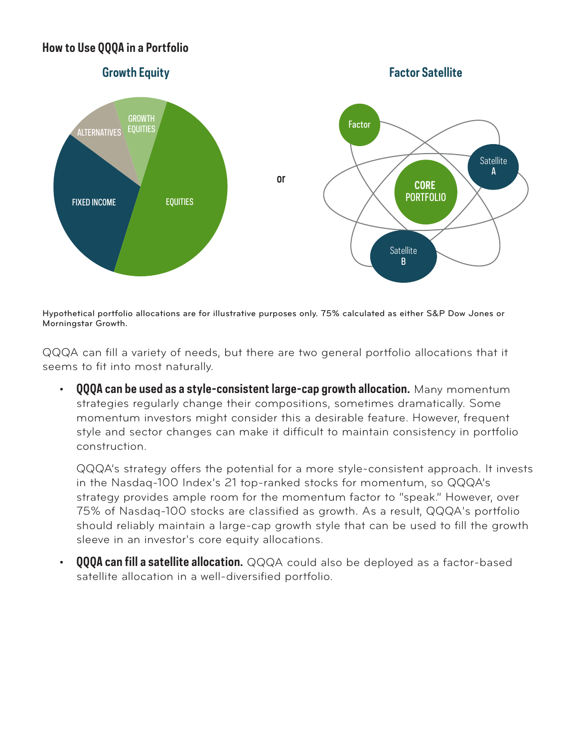## **How to Use QQQA in a Portfolio**



Hypothetical portfolio allocations are for illustrative purposes only. 75% calculated as either S&P Dow Jones or Morningstar Growth.

QQQA can fill a variety of needs, but there are two general portfolio allocations that it seems to fit into most naturally.

• **QQQA can be used as a style-consistent large-cap growth allocation.** Many momentum strategies regularly change their compositions, sometimes dramatically. Some momentum investors might consider this a desirable feature. However, frequent style and sector changes can make it difficult to maintain consistency in portfolio construction.

 QQQA's strategy offers the potential for a more style-consistent approach. It invests in the Nasdaq-100 Index's 21 top-ranked stocks for momentum, so QQQA's strategy provides ample room for the momentum factor to "speak." However, over 75% of Nasdaq-100 stocks are classified as growth. As a result, QQQA's portfolio should reliably maintain a large-cap growth style that can be used to fill the growth sleeve in an investor's core equity allocations.

**QQQA can fill a satellite allocation.** QQQA could also be deployed as a factor-based satellite allocation in a well-diversified portfolio.